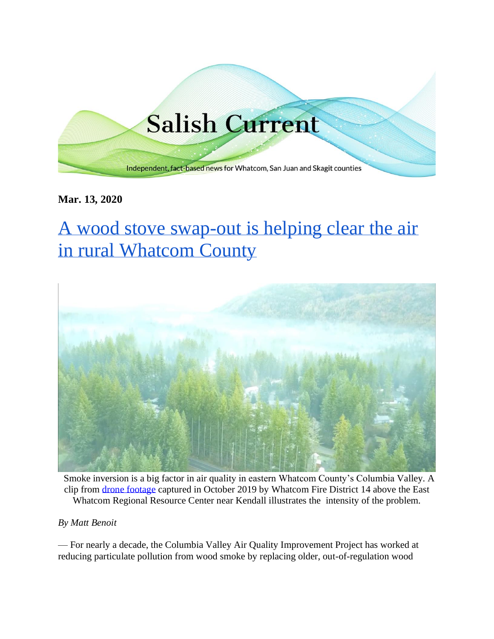# **Salish Current**

Independent, fact-based news for Whatcom, San Juan and Skagit counties

**Mar. 13, 2020**

# [A wood stove swap-out is helping clear the air](https://salish-current.org/2020/03/05/a-wood-stove-swap-out-is-helping-clear-the-air-in-rural-whatcom-county/)  [in rural Whatcom County](https://salish-current.org/2020/03/05/a-wood-stove-swap-out-is-helping-clear-the-air-in-rural-whatcom-county/)



Smoke inversion is a big factor in air quality in eastern Whatcom County's Columbia Valley. A clip from [drone footage](https://www.youtube.com/watch?v=nZhXgDQUNPk) captured in October 2019 by Whatcom Fire District 14 above the East Whatcom Regional Resource Center near Kendall illustrates the intensity of the problem.

*By Matt Benoit*

— For nearly a decade, the Columbia Valley Air Quality Improvement Project has worked at reducing particulate pollution from wood smoke by replacing older, out-of-regulation wood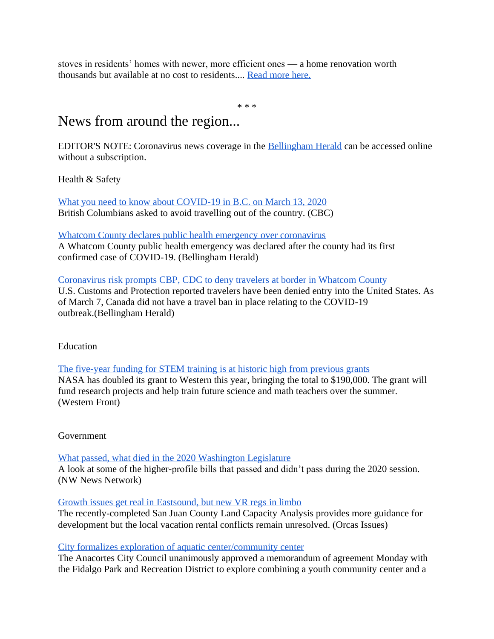stoves in residents' homes with newer, more efficient ones — a home renovation worth thousands but available at no cost to residents.... [Read more here.](https://salish-current.org/2020/03/05/a-wood-stove-swap-out-is-helping-clear-the-air-in-rural-whatcom-county/)

\* \* \*

### News from around the region...

EDITOR'S NOTE: Coronavirus news coverage in the [Bellingham Herald](https://www.bellinghamherald.com/) can be accessed online without a subscription.

Health & Safety

[What you need to know about COVID-19 in B.C. on March 13, 2020](https://www.cbc.ca/news/canada/british-columbia/coronavirus-update-bc-what-you-need-to-know-1.5495881) British Columbians asked to avoid travelling out of the country. (CBC)

[Whatcom County declares public health emergency over coronavirus](https://www.bellinghamherald.com/news/local/article241075056.html) A Whatcom County public health emergency was declared after the county had its first confirmed case of COVID-19. (Bellingham Herald)

## [Coronavirus risk prompts CBP, CDC to deny travelers at border in Whatcom County](https://www.bellinghamherald.com/news/local/article240966011.html)

U.S. Customs and Protection reported travelers have been denied entry into the United States. As of March 7, Canada did not have a travel ban in place relating to the COVID-19 outbreak.(Bellingham Herald)

#### Education

[The five-year funding for STEM training is at historic high from previous grants](https://www.westernfrontonline.com/2020/03/07/nasa-donates-190000-to-western/) NASA has doubled its grant to Western this year, bringing the total to \$190,000. The grant will fund research projects and help train future science and math teachers over the summer. (Western Front)

#### Government

[What passed, what died in the 2020 Washington Legislature](https://kuow.org/stories/what-passed-what-died-in-the-2020-washington-legislature) A look at some of the higher-profile bills that passed and didn't pass during the 2020 session. (NW News Network)

#### [Growth issues get real in Eastsound, but new VR regs in limbo](https://orcasissues.com/growth-issues-get-real-in-eastsound-but-new-vr-regs-in-limbo/)

The recently-completed San Juan County Land Capacity Analysis provides more guidance for development but the local vacation rental conflicts remain unresolved. (Orcas Issues)

#### [City formalizes exploration of aquatic center/community center](https://www.goskagit.com/anacortes/news/city-formalizes-exploration-of-aquatic-center-community-center/article_f01f9c98-6398-11ea-9ae5-fb9b903ea8da.html)

The Anacortes City Council unanimously approved a memorandum of agreement Monday with the Fidalgo Park and Recreation District to explore combining a youth community center and a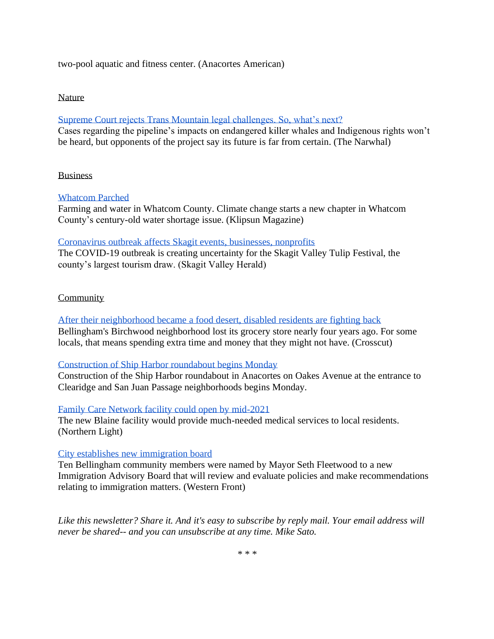two-pool aquatic and fitness center. (Anacortes American)

#### Nature

#### [Supreme Court rejects Trans Mountain legal challenges. So, what's next?](https://thenarwhal.ca/supreme-court-rejects-trans-mountain-legal-challenges-so-whats-next/)

Cases regarding the pipeline's impacts on endangered killer whales and Indigenous rights won't be heard, but opponents of the project say its future is far from certain. (The Narwhal)

#### **Business**

#### [Whatcom Parched](https://klipsunmagazine.com/whatcom-parched-c41bfdab3819)

Farming and water in Whatcom County. Climate change starts a new chapter in Whatcom County's century-old water shortage issue. (Klipsun Magazine)

#### [Coronavirus outbreak affects Skagit events, businesses, nonprofits](https://www.goskagit.com/news/local_news/coronavirus-outbreak-affects-skagit-events-businesses-nonprofits/article_a0077407-5776-5238-a0af-31d87ea5f43d.html)

The COVID-19 outbreak is creating uncertainty for the Skagit Valley Tulip Festival, the county's largest tourism draw. (Skagit Valley Herald)

#### **Community**

[After their neighborhood became a food desert, disabled residents are fighting back](https://crosscut.com/2020/02/after-their-neighborhood-became-food-desert-disabled-residents-are-fighting-back?utm_medium=social&utm_source=twitter-web-button) Bellingham's Birchwood neighborhood lost its grocery store nearly four years ago. For some locals, that means spending extra time and money that they might not have. (Crosscut)

#### [Construction of Ship Harbor roundabout begins Monday](https://www.goskagit.com/anacortes/news/construction-of-ship-harbor-roundabout-begins-monday/article_9ce8f2c8-6397-11ea-b9bf-c74188c5aa21.html)

Construction of the Ship Harbor roundabout in Anacortes on Oakes Avenue at the entrance to Clearidge and San Juan Passage neighborhoods begins Monday.

#### [Family Care Network facility could open by mid-2021](https://www.thenorthernlight.com/stories/family-care-network-facility-could-open-by-mid-2021,9802?)

The new Blaine facility would provide much-needed medical services to local residents. (Northern Light)

#### [City establishes new immigration board](https://www.westernfrontonline.com/2020/03/13/city-establishes-new-immigration-board/)

Ten Bellingham community members were named by Mayor Seth Fleetwood to a new Immigration Advisory Board that will review and evaluate policies and make recommendations relating to immigration matters. (Western Front)

*Like this newsletter? Share it. And it's easy to subscribe by reply mail. Your email address will never be shared-- and you can unsubscribe at any time. Mike Sato.*

*\* \* \**